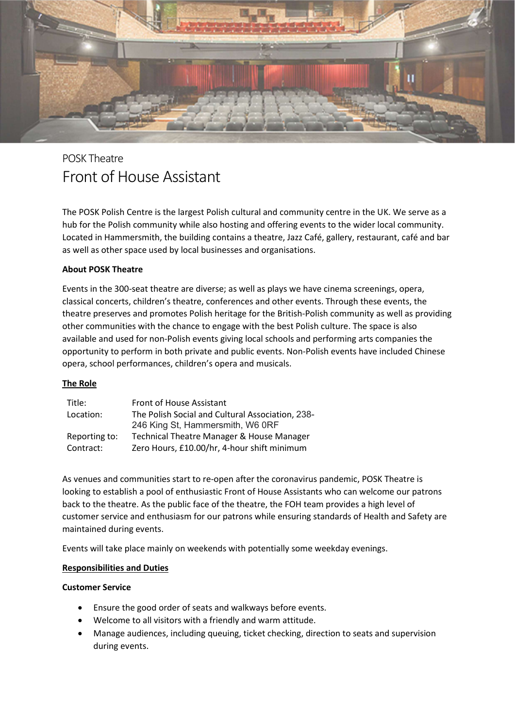

# POSK Theatre Front of House Assistant

The POSK Polish Centre is the largest Polish cultural and community centre in the UK. We serve as a hub for the Polish community while also hosting and offering events to the wider local community. Located in Hammersmith, the building contains a theatre, Jazz Café, gallery, restaurant, café and bar as well as other space used by local businesses and organisations.

## About POSK Theatre

Events in the 300-seat theatre are diverse; as well as plays we have cinema screenings, opera, classical concerts, children's theatre, conferences and other events. Through these events, the theatre preserves and promotes Polish heritage for the British-Polish community as well as providing other communities with the chance to engage with the best Polish culture. The space is also available and used for non-Polish events giving local schools and performing arts companies the opportunity to perform in both private and public events. Non-Polish events have included Chinese opera, school performances, children's opera and musicals.

#### The Role

| Title:        | Front of House Assistant                         |
|---------------|--------------------------------------------------|
| Location:     | The Polish Social and Cultural Association, 238- |
|               | 246 King St, Hammersmith, W6 ORF                 |
| Reporting to: | Technical Theatre Manager & House Manager        |
| Contract:     | Zero Hours, £10.00/hr, 4-hour shift minimum      |

As venues and communities start to re-open after the coronavirus pandemic, POSK Theatre is looking to establish a pool of enthusiastic Front of House Assistants who can welcome our patrons back to the theatre. As the public face of the theatre, the FOH team provides a high level of customer service and enthusiasm for our patrons while ensuring standards of Health and Safety are maintained during events.

Events will take place mainly on weekends with potentially some weekday evenings.

#### Responsibilities and Duties

#### Customer Service

- Ensure the good order of seats and walkways before events.
- Welcome to all visitors with a friendly and warm attitude.
- Manage audiences, including queuing, ticket checking, direction to seats and supervision during events.